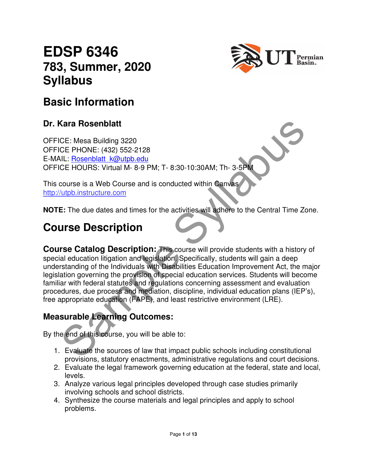# **EDSP 6346 783, Summer, 2020 Syllabus**



## **Basic Information**

#### **Dr. Kara Rosenblatt**

OFFICE: Mesa Building 3220 OFFICE PHONE: (432) 552-2128 E-MAIL: Rosenblatt\_k@utpb.edu OFFICE HOURS: Virtual M- 8-9 PM; T- 8:30-10:30AM; Th- 3-5PM

This course is a Web Course and is conducted within Canvas http://utpb.instructure.com

**NOTE:** The due dates and times for the activities will adhere to the Central Time Zone.

# **Course Description**

Cara Rosenblatt<br>
CE: Mesa Building 3220<br>
CE PHONE: (432) 552-2128<br>
LLC: Resenblatt Marubbeside<br>
CE HOURS: Virtual M- 8-9 PM; T- 8:30-10:30AM; Th- 3-5PM<br>
COURS: Virtual M- 8-9 PM; T- 8:30-10:30AM; Th- 3-5PM<br>
COURS: Virtual **Course Catalog Description:** This course will provide students with a history of special education litigation and legislation. Specifically, students will gain a deep understanding of the Individuals with Disabilities Education Improvement Act, the major legislation governing the provision of special education services. Students will become familiar with federal statutes and regulations concerning assessment and evaluation procedures, due process and mediation, discipline, individual education plans (IEP's), free appropriate education (FAPE), and least restrictive environment (LRE).

## **Measurable Learning Outcomes:**

By the end of this course, you will be able to:

- 1. Evaluate the sources of law that impact public schools including constitutional provisions, statutory enactments, administrative regulations and court decisions.
- 2. Evaluate the legal framework governing education at the federal, state and local, levels.
- 3. Analyze various legal principles developed through case studies primarily involving schools and school districts.
- 4. Synthesize the course materials and legal principles and apply to school problems.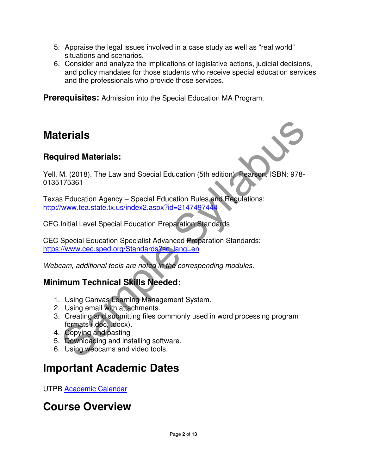- 5. Appraise the legal issues involved in a case study as well as "real world" situations and scenarios.
- 6. Consider and analyze the implications of legislative actions, judicial decisions, and policy mandates for those students who receive special education services and the professionals who provide those services.

**Prerequisites:** Admission into the Special Education MA Program.

## **Materials**

#### **Required Materials:**

**terrials**<br>
W. (2018). The Law and Special Education (5th edition) Pearson: ISBN: 978-175361<br>
175361<br>
Selucation Agency – Special Education Rules and Regulations:<br>
<u>Www.lea.state.tx.us/index2.aspx?id=2147497444</u><br>
Initial L Yell, M. (2018). The Law and Special Education (5th edition). Pearson. ISBN: 978- 0135175361

Texas Education Agency – Special Education Rules and Regulations: http://www.tea.state.tx.us/index2.aspx?id=2147497444

CEC Initial Level Special Education Preparation Standards

CEC Special Education Specialist Advanced Preparation Standards: https://www.cec.sped.org/Standards?sc\_lang=en

Webcam, additional tools are noted in the corresponding modules.

## **Minimum Technical Skills Needed:**

- 1. Using Canvas Learning Management System.
- 2. Using email with attachments.
- 3. Creating and submitting files commonly used in word processing program formats (.doc, .docx).
- 4. Copying and pasting
- 5. Downloading and installing software.
- 6. Using webcams and video tools.

# **Important Academic Dates**

UTPB Academic Calendar

## **Course Overview**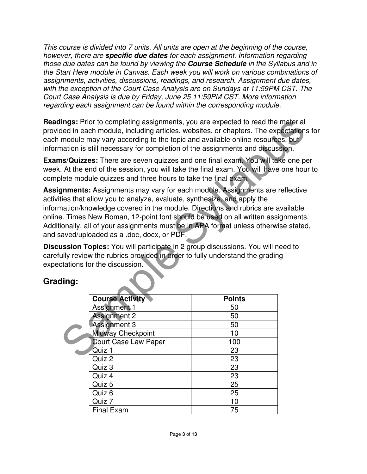This course is divided into 7 units. All units are open at the beginning of the course, however, there are **specific due dates** for each assignment. Information regarding those due dates can be found by viewing the **Course Schedule** in the Syllabus and in the Start Here module in Canvas. Each week you will work on various combinations of assignments, activities, discussions, readings, and research. Assignment due dates, with the exception of the Court Case Analysis are on Sundays at 11:59PM CST. The Court Case Analysis is due by Friday, June 25 11:59PM CST. More information regarding each assignment can be found within the corresponding module.

**Readings:** Prior to completing assignments, you are expected to read the material provided in each module, including articles, websites, or chapters. The expectations for each module may vary according to the topic and available online resources, but information is still necessary for completion of the assignments and discussion.

**Exams/Quizzes:** There are seven quizzes and one final exam. You will take one per week. At the end of the session, you will take the final exam. You will have one hour to complete module quizzes and three hours to take the final exam.

**Assignments:** Assignments may vary for each module. Assignments are reflective activities that allow you to analyze, evaluate, synthesize, and apply the information/knowledge covered in the module. Directions and rubrics are available online. Times New Roman, 12-point font should be used on all written assignments. Additionally, all of your assignments must be in APA format unless otherwise stated, and saved/uploaded as a .doc, docx, or PDF.

**Discussion Topics:** You will participate in 2 group discussions. You will need to carefully review the rubrics provided in order to fully understand the grading expectations for the discussion.

#### **Grading:**

|                                                                                                                                                                                                   | <b>lings:</b> Prior to completing assignments, you are expected to read the material<br>ded in each module, including articles, websites, or chapters. The expectations f<br>module may vary according to the topic and available online resources, but<br>mation is still necessary for completion of the assignments and discussion.                                                                                                        |               |  |
|---------------------------------------------------------------------------------------------------------------------------------------------------------------------------------------------------|-----------------------------------------------------------------------------------------------------------------------------------------------------------------------------------------------------------------------------------------------------------------------------------------------------------------------------------------------------------------------------------------------------------------------------------------------|---------------|--|
|                                                                                                                                                                                                   | ns/Quizzes: There are seven quizzes and one final exam. You will take one per<br>At the end of the session, you will take the final exam. You will have one hour t<br>blete module quizzes and three hours to take the final exam.                                                                                                                                                                                                            |               |  |
|                                                                                                                                                                                                   | gnments: Assignments may vary for each module. Assignments are reflective<br>ties that allow you to analyze, evaluate, synthesize, and apply the<br>nation/knowledge covered in the module. Directions and rubrics are available<br>e. Times New Roman, 12-point font should be used on all written assignments.<br>ionally, all of your assignments must be in APA format unless otherwise stated,<br>aved/uploaded as a .doc, docx, or PDF. |               |  |
| ussion Topics: You will participate in 2 group discussions. You will need to<br>ully review the rubrics provided in order to fully understand the grading<br>ctations for the discussion.<br>:ing |                                                                                                                                                                                                                                                                                                                                                                                                                                               |               |  |
|                                                                                                                                                                                                   |                                                                                                                                                                                                                                                                                                                                                                                                                                               |               |  |
|                                                                                                                                                                                                   | <b>Course Activity</b>                                                                                                                                                                                                                                                                                                                                                                                                                        | <b>Points</b> |  |
|                                                                                                                                                                                                   | <b>Assignment 1</b>                                                                                                                                                                                                                                                                                                                                                                                                                           | 50            |  |
|                                                                                                                                                                                                   | <b>Assignment 2</b>                                                                                                                                                                                                                                                                                                                                                                                                                           | 50            |  |
|                                                                                                                                                                                                   | <b>Assignment 3</b>                                                                                                                                                                                                                                                                                                                                                                                                                           | 50            |  |
|                                                                                                                                                                                                   | <b>Midway Checkpoint</b>                                                                                                                                                                                                                                                                                                                                                                                                                      | 10            |  |
|                                                                                                                                                                                                   | <b>Court Case Law Paper</b>                                                                                                                                                                                                                                                                                                                                                                                                                   | 100           |  |
|                                                                                                                                                                                                   | Quiz 1                                                                                                                                                                                                                                                                                                                                                                                                                                        | 23            |  |
|                                                                                                                                                                                                   | Quiz 2                                                                                                                                                                                                                                                                                                                                                                                                                                        | 23            |  |
|                                                                                                                                                                                                   | Quiz 3                                                                                                                                                                                                                                                                                                                                                                                                                                        | 23            |  |
|                                                                                                                                                                                                   | Quiz 4                                                                                                                                                                                                                                                                                                                                                                                                                                        | 23            |  |
|                                                                                                                                                                                                   | Quiz 5                                                                                                                                                                                                                                                                                                                                                                                                                                        | 25            |  |
|                                                                                                                                                                                                   | Quiz 6                                                                                                                                                                                                                                                                                                                                                                                                                                        | 25            |  |
|                                                                                                                                                                                                   | Quiz 7                                                                                                                                                                                                                                                                                                                                                                                                                                        | 10            |  |
|                                                                                                                                                                                                   | <b>Final Exam</b>                                                                                                                                                                                                                                                                                                                                                                                                                             | 75            |  |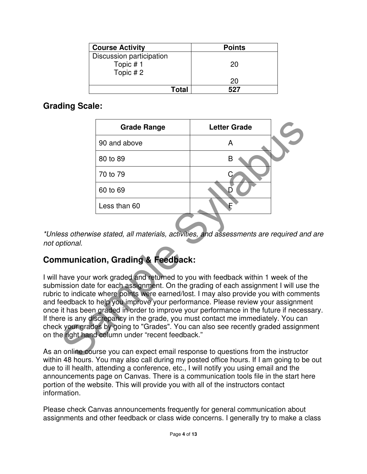| <b>Course Activity</b>   | <b>Points</b> |
|--------------------------|---------------|
| Discussion participation |               |
| Topic #1                 | 20            |
| Topic #2                 |               |
|                          | 20            |
| <b>Total</b>             | 527           |

#### **Grading Scale:**

|          | <b>Grade Range</b>                                                                                                                                                                                                                                                                                                                                                                                                                                                                                                                                                                                                                        | <b>Letter Grade</b> |  |
|----------|-------------------------------------------------------------------------------------------------------------------------------------------------------------------------------------------------------------------------------------------------------------------------------------------------------------------------------------------------------------------------------------------------------------------------------------------------------------------------------------------------------------------------------------------------------------------------------------------------------------------------------------------|---------------------|--|
|          | 90 and above                                                                                                                                                                                                                                                                                                                                                                                                                                                                                                                                                                                                                              | A                   |  |
|          | 80 to 89                                                                                                                                                                                                                                                                                                                                                                                                                                                                                                                                                                                                                                  | B                   |  |
|          | 70 to 79                                                                                                                                                                                                                                                                                                                                                                                                                                                                                                                                                                                                                                  |                     |  |
|          | 60 to 69                                                                                                                                                                                                                                                                                                                                                                                                                                                                                                                                                                                                                                  | D                   |  |
|          | Less than 60                                                                                                                                                                                                                                                                                                                                                                                                                                                                                                                                                                                                                              | E                   |  |
| ptional. | ess otherwise stated, all materials, activities, and assessments are required and i<br><b>Imunication, Grading &amp; Feedback:</b>                                                                                                                                                                                                                                                                                                                                                                                                                                                                                                        |                     |  |
|          | have your work graded and returned to you with feedback within 1 week of the<br>iission date for each assignment. On the grading of each assignment I will use th<br>to indicate where points were earned/lost. I may also provide you with comment<br>eedback to help you improve your performance. Please review your assignment<br>it has been graded in order to improve your performance in the future if necessare<br>re is any discrepancy in the grade, you must contact me immediately. You can<br>k your grades by going to "Grades". You can also see recently graded assignme<br>e right hand column under "recent feedback." |                     |  |
|          | online course you can expect email response to questions from the instructor<br>$\sim$ 40 hours. Veu moviales sell during my posted effice hours. If Lam going to be a                                                                                                                                                                                                                                                                                                                                                                                                                                                                    |                     |  |

\*Unless otherwise stated, all materials, activities, and assessments are required and are not optional.

## **Communication, Grading & Feedback:**

I will have your work graded and returned to you with feedback within 1 week of the submission date for each assignment. On the grading of each assignment I will use the rubric to indicate where points were earned/lost. I may also provide you with comments and feedback to help you improve your performance. Please review your assignment once it has been graded in order to improve your performance in the future if necessary. If there is any discrepancy in the grade, you must contact me immediately. You can check your grades by going to "Grades". You can also see recently graded assignment on the right hand column under "recent feedback."

As an online course you can expect email response to questions from the instructor within 48 hours. You may also call during my posted office hours. If I am going to be out due to ill health, attending a conference, etc., I will notify you using email and the announcements page on Canvas. There is a communication tools file in the start here portion of the website. This will provide you with all of the instructors contact information.

Please check Canvas announcements frequently for general communication about assignments and other feedback or class wide concerns. I generally try to make a class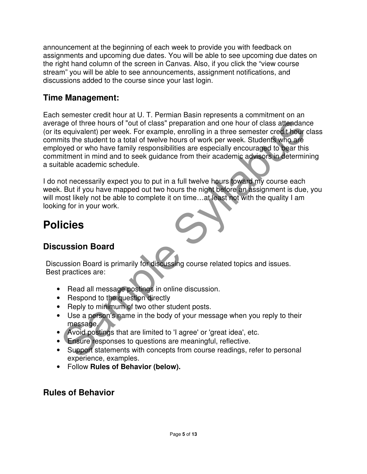announcement at the beginning of each week to provide you with feedback on assignments and upcoming due dates. You will be able to see upcoming due dates on the right hand column of the screen in Canvas. Also, if you click the "view course stream" you will be able to see announcements, assignment notifications, and discussions added to the course since your last login.

#### **Time Management:**

and of three hours of "out of class" preparation and one hour of class attendance<br>
in studient) per week. Students the reasonstre credit hour class is equivalent to a total of twelve hours of work per week. Students who ar Each semester credit hour at U. T. Permian Basin represents a commitment on an average of three hours of "out of class" preparation and one hour of class attendance (or its equivalent) per week. For example, enrolling in a three semester credit hour class commits the student to a total of twelve hours of work per week. Students who are employed or who have family responsibilities are especially encouraged to bear this commitment in mind and to seek guidance from their academic advisors in determining a suitable academic schedule.

I do not necessarily expect you to put in a full twelve hours toward my course each week. But if you have mapped out two hours the night before an assignment is due, you will most likely not be able to complete it on time...at least not with the quality I am looking for in your work.

# **Policies**

#### **Discussion Board**

Discussion Board is primarily for discussing course related topics and issues. Best practices are:

- Read all message postings in online discussion.
- Respond to the question directly
- Reply to minimum of two other student posts.
- Use a person's name in the body of your message when you reply to their message.
- Avoid postings that are limited to 'I agree' or 'great idea', etc.
- Ensure responses to questions are meaningful, reflective.
- Support statements with concepts from course readings, refer to personal experience, examples.
- Follow **Rules of Behavior (below).**

#### **Rules of Behavior**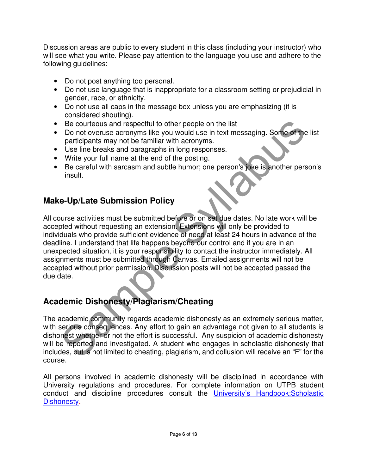Discussion areas are public to every student in this class (including your instructor) who will see what you write. Please pay attention to the language you use and adhere to the following guidelines:

- Do not post anything too personal.
- Do not use language that is inappropriate for a classroom setting or prejudicial in gender, race, or ethnicity.
- Do not use all caps in the message box unless you are emphasizing (it is considered shouting).
- Be courteous and respectful to other people on the list
- Do not overuse acronyms like you would use in text messaging. Some of the list participants may not be familiar with acronyms.
- Use line breaks and paragraphs in long responses.
- Write your full name at the end of the posting.
- Be careful with sarcasm and subtle humor; one person's joke is another person's insult.

#### **Make-Up/Late Submission Policy**

Be courteous and respectful to other people on the list<br>po not overwese acronyms like you would use in text messaging. Some of the li<br>participants may not be familiar with acronyms.<br>Use line breaks and paragraphs in long r All course activities must be submitted before or on set due dates. No late work will be accepted without requesting an extension. Extensions will only be provided to individuals who provide sufficient evidence of need at least 24 hours in advance of the deadline. I understand that life happens beyond our control and if you are in an unexpected situation, it is your responsibility to contact the instructor immediately. All assignments must be submitted through Canvas. Emailed assignments will not be accepted without prior permission. Discussion posts will not be accepted passed the due date.

## **Academic Dishonesty/Plagiarism/Cheating**

The academic community regards academic dishonesty as an extremely serious matter, with serious consequences. Any effort to gain an advantage not given to all students is dishonest whether or not the effort is successful. Any suspicion of academic dishonesty will be reported and investigated. A student who engages in scholastic dishonesty that includes, but is not limited to cheating, plagiarism, and collusion will receive an "F" for the course.

All persons involved in academic dishonesty will be disciplined in accordance with University regulations and procedures. For complete information on UTPB student conduct and discipline procedures consult the University's Handbook:Scholastic Dishonesty.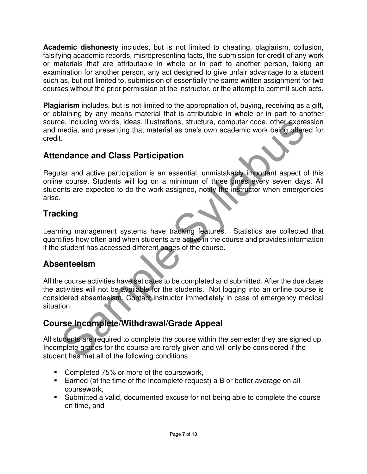**Academic dishonesty** includes, but is not limited to cheating, plagiarism, collusion, falsifying academic records, misrepresenting facts, the submission for credit of any work or materials that are attributable in whole or in part to another person, taking an examination for another person, any act designed to give unfair advantage to a student such as, but not limited to, submission of essentially the same written assignment for two courses without the prior permission of the instructor, or the attempt to commit such acts.

**Plagiarism** includes, but is not limited to the appropriation of, buying, receiving as a gift, or obtaining by any means material that is attributable in whole or in part to another source, including words, ideas, illustrations, structure, computer code, other expression and media, and presenting that material as one's own academic work being offered for credit.

#### **Attendance and Class Participation**

be, including words, ideas, illustrations, structure, computer code, other expresses<br>
and ia, and presenting that material as one's own academic work being offered<br>
1.<br>
I.<br> **Indance and Class Participation**<br>
I.<br> **Indance a** Regular and active participation is an essential, unmistakably important aspect of this online course. Students will log on a minimum of three times every seven days. All students are expected to do the work assigned, notify the instructor when emergencies arise.

## **Tracking**

Learning management systems have tracking features. Statistics are collected that quantifies how often and when students are active in the course and provides information if the student has accessed different pages of the course.

## **Absenteeism**

All the course activities have set dates to be completed and submitted. After the due dates the activities will not be available for the students. Not logging into an online course is considered absenteeism. Contact instructor immediately in case of emergency medical situation.

## **Course Incomplete/Withdrawal/Grade Appeal**

All students are required to complete the course within the semester they are signed up. Incomplete grades for the course are rarely given and will only be considered if the student has met all of the following conditions:

- **Completed 75% or more of the coursework,**
- Earned (at the time of the Incomplete request) a B or better average on all coursework,
- Submitted a valid, documented excuse for not being able to complete the course on time, and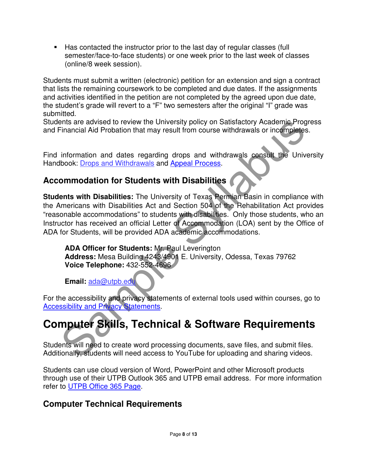Has contacted the instructor prior to the last day of regular classes (full semester/face-to-face students) or one week prior to the last week of classes (online/8 week session).

Students must submit a written (electronic) petition for an extension and sign a contract that lists the remaining coursework to be completed and due dates. If the assignments and activities identified in the petition are not completed by the agreed upon due date, the student's grade will revert to a "F" two semesters after the original "I" grade was submitted.

Students are advised to review the University policy on Satisfactory Academic Progress and Financial Aid Probation that may result from course withdrawals or incompletes.

Find information and dates regarding drops and withdrawals consult the University Handbook: Drops and Withdrawals and Appeal Process.

#### **Accommodation for Students with Disabilities**

The accessibility and privacy statements of external tools used with courses with reaching Progression<br>
Simple Syllabushing and with form course withdrawals or incompletes.<br>
Information and dates regarding drops and withdr **Students with Disabilities:** The University of Texas Permian Basin in compliance with the Americans with Disabilities Act and Section 504 of the Rehabilitation Act provides "reasonable accommodations" to students with disabilities. Only those students, who an Instructor has received an official Letter of Accommodation (LOA) sent by the Office of ADA for Students, will be provided ADA academic accommodations.

**ADA Officer for Students:** Mr. Paul Leverington **Address:** Mesa Building 4243/4901 E. University, Odessa, Texas 79762 **Voice Telephone:** 432-552-4696

**Email:** ada@utpb.edu

For the accessibility and privacy statements of external tools used within courses, go to Accessibility and Privacy Statements.

# **Computer Skills, Technical & Software Requirements**

Students will need to create word processing documents, save files, and submit files. Additionally, students will need access to YouTube for uploading and sharing videos.

Students can use cloud version of Word, PowerPoint and other Microsoft products through use of their UTPB Outlook 365 and UTPB email address. For more information refer to UTPB Office 365 Page.

#### **Computer Technical Requirements**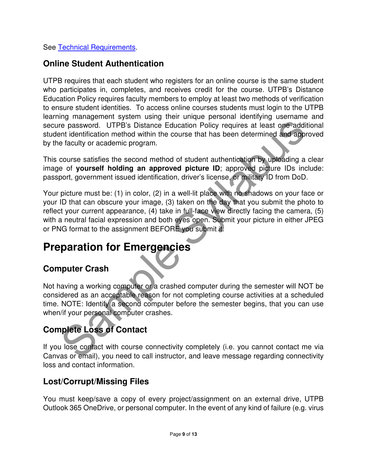See Technical Requirements.

#### **Online Student Authentication**

UTPB requires that each student who registers for an online course is the same student who participates in, completes, and receives credit for the course. UTPB's Distance Education Policy requires faculty members to employ at least two methods of verification to ensure student identities. To access online courses students must login to the UTPB learning management system using their unique personal identifying username and secure password. UTPB's Distance Education Policy requires at least one additional student identification method within the course that has been determined and approved by the faculty or academic program.

This course satisfies the second method of student authentication by uploading a clear image of **yourself holding an approved picture ID**; approved picture IDs include: passport, government issued identification, driver's license, or military ID from DoD.

The password. UTPB's Distance Education Policy requires at least one addition<br>the identification method within the course that has been determined and approved fraculty or academic providing the course that has been determ Your picture must be: (1) in color, (2) in a well-lit place with no shadows on your face or your ID that can obscure your image, (3) taken on the day that you submit the photo to reflect your current appearance, (4) take in full-face view directly facing the camera, (5) with a neutral facial expression and both eyes open. Submit your picture in either JPEG or PNG format to the assignment BEFORE you submit it.

# **Preparation for Emergencies**

#### **Computer Crash**

Not having a working computer or a crashed computer during the semester will NOT be considered as an acceptable reason for not completing course activities at a scheduled time. NOTE: Identify a second computer before the semester begins, that you can use when/if your personal computer crashes.

## **Complete Loss of Contact**

If you lose contact with course connectivity completely (i.e. you cannot contact me via Canvas or email), you need to call instructor, and leave message regarding connectivity loss and contact information.

#### **Lost/Corrupt/Missing Files**

You must keep/save a copy of every project/assignment on an external drive, UTPB Outlook 365 OneDrive, or personal computer. In the event of any kind of failure (e.g. virus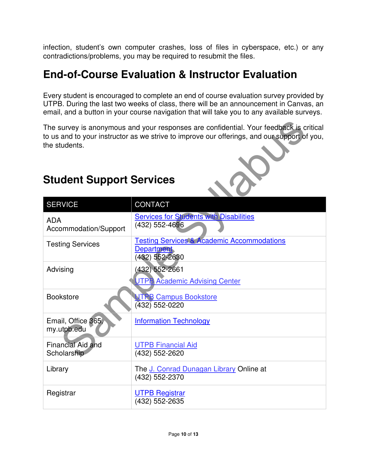infection, student's own computer crashes, loss of files in cyberspace, etc.) or any contradictions/problems, you may be required to resubmit the files.

# **End-of-Course Evaluation & Instructor Evaluation**

Every student is encouraged to complete an end of course evaluation survey provided by UTPB. During the last two weeks of class, there will be an announcement in Canvas, an email, and a button in your course navigation that will take you to any available surveys.



# **Student Support Services**

| The survey is anonymous and your responses are confidential. Your feedback is critical<br>to us and to your instructor as we strive to improve our offerings, and our support of you,<br>the students. |                                                                                              |  |  |
|--------------------------------------------------------------------------------------------------------------------------------------------------------------------------------------------------------|----------------------------------------------------------------------------------------------|--|--|
| <b>Student Support Services</b>                                                                                                                                                                        |                                                                                              |  |  |
| <b>SERVICE</b>                                                                                                                                                                                         | <b>CONTACT</b>                                                                               |  |  |
| <b>ADA</b><br>Accommodation/Support                                                                                                                                                                    | <b>Services for Students with Disabilities</b><br>(432) 552-4696                             |  |  |
| <b>Testing Services</b>                                                                                                                                                                                | <b>Testing Services &amp; Academic Accommodations</b><br><b>Department</b><br>(432) 552-2630 |  |  |
| Advising                                                                                                                                                                                               | (432) 552-2661<br><b>UTPB Academic Advising Center</b>                                       |  |  |
| <b>Bookstore</b>                                                                                                                                                                                       | <b>UTPB Campus Bookstore</b><br>(432) 552-0220                                               |  |  |
| Email, Office 365,<br>my.utpb.edu                                                                                                                                                                      | <b>Information Technology</b>                                                                |  |  |
| Financial Aid and<br>Scholarship                                                                                                                                                                       | <b>UTPB Financial Aid</b><br>(432) 552-2620                                                  |  |  |
| Library                                                                                                                                                                                                | The J. Conrad Dunagan Library Online at<br>(432) 552-2370                                    |  |  |
| Registrar                                                                                                                                                                                              | <b>UTPB Registrar</b><br>(432) 552-2635                                                      |  |  |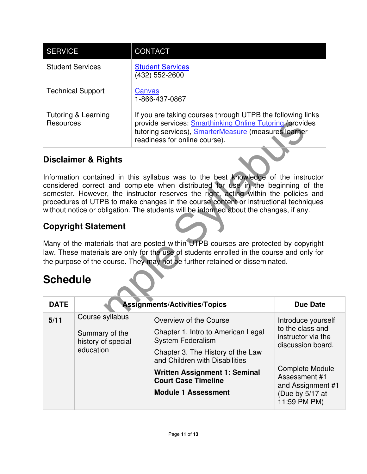| <b>SERVICE</b>                              | <b>CONTACT</b>                                                                                                                                                                                                  |
|---------------------------------------------|-----------------------------------------------------------------------------------------------------------------------------------------------------------------------------------------------------------------|
| <b>Student Services</b>                     | <b>Student Services</b><br>(432) 552-2600                                                                                                                                                                       |
| <b>Technical Support</b>                    | Canvas<br>1-866-437-0867                                                                                                                                                                                        |
| <b>Tutoring &amp; Learning</b><br>Resources | If you are taking courses through UTPB the following links<br>provide services: Smarthinking Online Tutoring (provides<br>tutoring services), SmarterMeasure (measures learner<br>readiness for online course). |

#### **Disclaimer & Rights**

#### **Copyright Statement**

## **Schedule**

|                                                                      | readiness for online course).                                                                                                                                                                                                         |                                                                                                                                                                                                                                                                                                                                                                                                                                                                                                                                                                                                                                                                                                                                                                                                                                                                                          |
|----------------------------------------------------------------------|---------------------------------------------------------------------------------------------------------------------------------------------------------------------------------------------------------------------------------------|------------------------------------------------------------------------------------------------------------------------------------------------------------------------------------------------------------------------------------------------------------------------------------------------------------------------------------------------------------------------------------------------------------------------------------------------------------------------------------------------------------------------------------------------------------------------------------------------------------------------------------------------------------------------------------------------------------------------------------------------------------------------------------------------------------------------------------------------------------------------------------------|
|                                                                      |                                                                                                                                                                                                                                       |                                                                                                                                                                                                                                                                                                                                                                                                                                                                                                                                                                                                                                                                                                                                                                                                                                                                                          |
|                                                                      |                                                                                                                                                                                                                                       |                                                                                                                                                                                                                                                                                                                                                                                                                                                                                                                                                                                                                                                                                                                                                                                                                                                                                          |
|                                                                      |                                                                                                                                                                                                                                       |                                                                                                                                                                                                                                                                                                                                                                                                                                                                                                                                                                                                                                                                                                                                                                                                                                                                                          |
|                                                                      |                                                                                                                                                                                                                                       |                                                                                                                                                                                                                                                                                                                                                                                                                                                                                                                                                                                                                                                                                                                                                                                                                                                                                          |
|                                                                      |                                                                                                                                                                                                                                       | <b>Due Date</b>                                                                                                                                                                                                                                                                                                                                                                                                                                                                                                                                                                                                                                                                                                                                                                                                                                                                          |
| Course syllabus<br>Summary of the<br>history of special<br>education | Overview of the Course<br>Chapter 1. Intro to American Legal<br><b>System Federalism</b><br>Chapter 3. The History of the Law<br>and Children with Disabilities<br><b>Written Assignment 1: Seminal</b><br><b>Court Case Timeline</b> | Introduce yourself<br>to the class and<br>instructor via the<br>discussion board.<br><b>Complete Module</b><br>Assessment #1                                                                                                                                                                                                                                                                                                                                                                                                                                                                                                                                                                                                                                                                                                                                                             |
|                                                                      | Resources<br><b>Disclaimer &amp; Rights</b><br><b>Copyright Statement</b><br><b>Schedule</b>                                                                                                                                          | provide services: <b>Smarthinking Online Tutoring (provides</b><br>tutoring services), SmarterMeasure (measures learner<br>Information contained in this syllabus was to the best knowledge of the instructor<br>considered correct and complete when distributed for use in the beginning of the<br>semester. However, the instructor reserves the right, acting within the policies and<br>procedures of UTPB to make changes in the course content or instructional techniques<br>without notice or obligation. The students will be informed about the changes, if any.<br>Many of the materials that are posted within UTPB courses are protected by copyright<br>law. These materials are only for the use of students enrolled in the course and only for<br>the purpose of the course. They may not be further retained or disseminated.<br><b>Assignments/Activities/Topics</b> |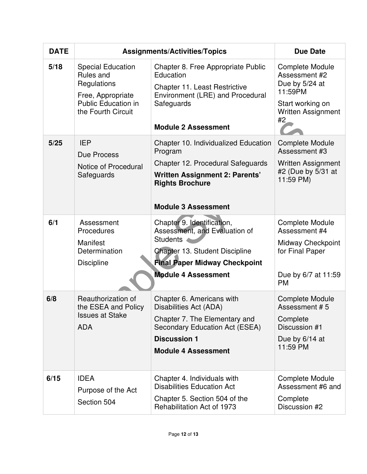| <b>DATE</b> | <b>Assignments/Activities/Topics</b>                                                                                          |                                                                                                                                                                                        | <b>Due Date</b>                                                                                                             |
|-------------|-------------------------------------------------------------------------------------------------------------------------------|----------------------------------------------------------------------------------------------------------------------------------------------------------------------------------------|-----------------------------------------------------------------------------------------------------------------------------|
| 5/18        | <b>Special Education</b><br>Rules and<br>Regulations<br>Free, Appropriate<br><b>Public Education in</b><br>the Fourth Circuit | Chapter 8. Free Appropriate Public<br>Education<br>Chapter 11. Least Restrictive<br>Environment (LRE) and Procedural<br>Safeguards<br><b>Module 2 Assessment</b>                       | <b>Complete Module</b><br>Assessment #2<br>Due by 5/24 at<br>11:59PM<br>Start working on<br><b>Written Assignment</b><br>#2 |
| 5/25        | <b>IEP</b><br>Due Process<br>Notice of Procedural<br>Safeguards                                                               | Chapter 10. Individualized Education<br>Program<br>Chapter 12. Procedural Safeguards<br><b>Written Assignment 2: Parents'</b><br><b>Rights Brochure</b><br><b>Module 3 Assessment</b>  | <b>Complete Module</b><br>Assessment #3<br><b>Written Assignment</b><br>#2 (Due by 5/31 at<br>11:59 PM)                     |
| 6/1         | Assessment<br>Procedures<br>Manifest<br>Determination<br><b>Discipline</b>                                                    | Chapter 9. Identification,<br>Assessment, and Evaluation of<br><b>Students</b><br>Chapter 13. Student Discipline<br><b>Final Paper Midway Checkpoint</b><br><b>Module 4 Assessment</b> | <b>Complete Module</b><br>Assessment #4<br>Midway Checkpoint<br>for Final Paper<br>Due by 6/7 at 11:59<br><b>PM</b>         |
| 6/8         | Reauthorization of<br>the ESEA and Policy<br><b>Issues at Stake</b><br><b>ADA</b>                                             | Chapter 6. Americans with<br>Disabilities Act (ADA)<br>Chapter 7. The Elementary and<br>Secondary Education Act (ESEA)<br><b>Discussion 1</b><br><b>Module 4 Assessment</b>            | <b>Complete Module</b><br>Assessment #5<br>Complete<br>Discussion #1<br>Due by $6/14$ at<br>11:59 PM                        |
| 6/15        | <b>IDEA</b><br>Purpose of the Act<br>Section 504                                                                              | Chapter 4. Individuals with<br><b>Disabilities Education Act</b><br>Chapter 5. Section 504 of the<br>Rehabilitation Act of 1973                                                        | <b>Complete Module</b><br>Assessment #6 and<br>Complete<br>Discussion #2                                                    |